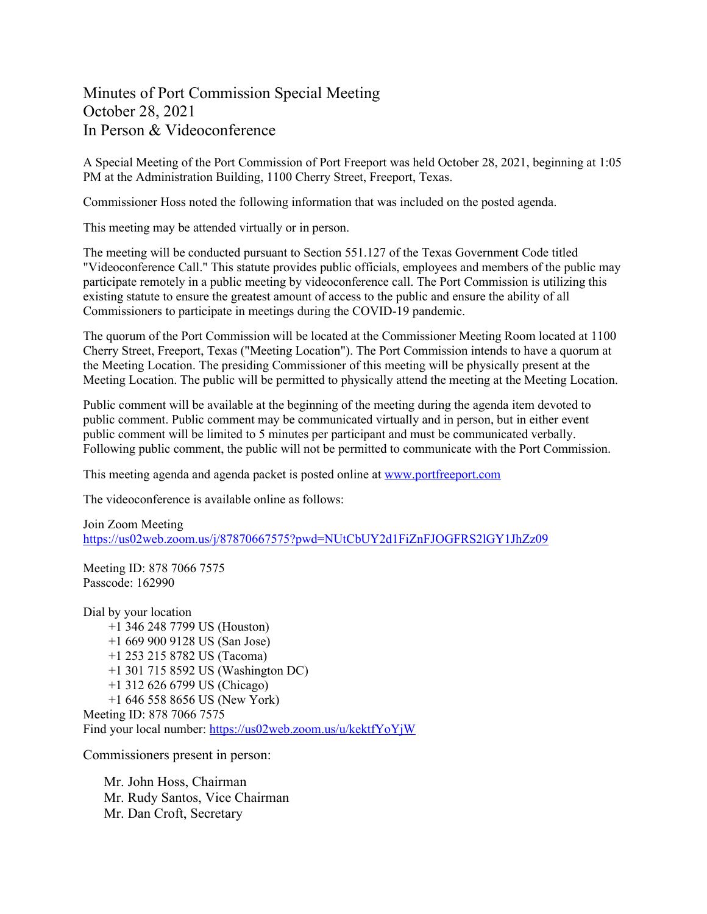## Minutes of Port Commission Special Meeting October 28, 2021 In Person & Videoconference

A Special Meeting of the Port Commission of Port Freeport was held October 28, 2021, beginning at 1:05 PM at the Administration Building, 1100 Cherry Street, Freeport, Texas.

Commissioner Hoss noted the following information that was included on the posted agenda.

This meeting may be attended virtually or in person.

The meeting will be conducted pursuant to Section 551.127 of the Texas Government Code titled "Videoconference Call." This statute provides public officials, employees and members of the public may participate remotely in a public meeting by videoconference call. The Port Commission is utilizing this existing statute to ensure the greatest amount of access to the public and ensure the ability of all Commissioners to participate in meetings during the COVID-19 pandemic.

The quorum of the Port Commission will be located at the Commissioner Meeting Room located at 1100 Cherry Street, Freeport, Texas ("Meeting Location"). The Port Commission intends to have a quorum at the Meeting Location. The presiding Commissioner of this meeting will be physically present at the Meeting Location. The public will be permitted to physically attend the meeting at the Meeting Location.

Public comment will be available at the beginning of the meeting during the agenda item devoted to public comment. Public comment may be communicated virtually and in person, but in either event public comment will be limited to 5 minutes per participant and must be communicated verbally. Following public comment, the public will not be permitted to communicate with the Port Commission.

This meeting agenda and agenda packet is posted online at [www.portfreeport.com](http://www.portfreeport.com/)

The videoconference is available online as follows:

Join Zoom Meeting <https://us02web.zoom.us/j/87870667575?pwd=NUtCbUY2d1FiZnFJOGFRS2lGY1JhZz09>

Meeting ID: 878 7066 7575 Passcode: 162990

Dial by your location +1 346 248 7799 US (Houston) +1 669 900 9128 US (San Jose) +1 253 215 8782 US (Tacoma) +1 301 715 8592 US (Washington DC) +1 312 626 6799 US (Chicago) +1 646 558 8656 US (New York) Meeting ID: 878 7066 7575 Find your local number:<https://us02web.zoom.us/u/kektfYoYjW>

Commissioners present in person:

Mr. John Hoss, Chairman Mr. Rudy Santos, Vice Chairman Mr. Dan Croft, Secretary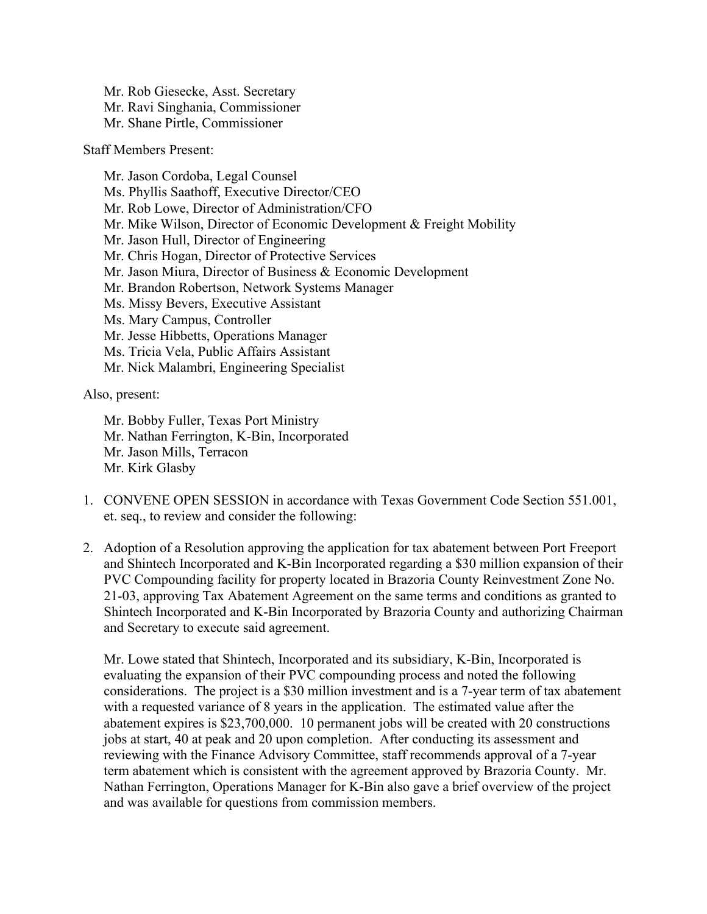Mr. Rob Giesecke, Asst. Secretary Mr. Ravi Singhania, Commissioner Mr. Shane Pirtle, Commissioner

Staff Members Present:

Mr. Jason Cordoba, Legal Counsel Ms. Phyllis Saathoff, Executive Director/CEO Mr. Rob Lowe, Director of Administration/CFO Mr. Mike Wilson, Director of Economic Development & Freight Mobility Mr. Jason Hull, Director of Engineering Mr. Chris Hogan, Director of Protective Services Mr. Jason Miura, Director of Business & Economic Development Mr. Brandon Robertson, Network Systems Manager Ms. Missy Bevers, Executive Assistant Ms. Mary Campus, Controller Mr. Jesse Hibbetts, Operations Manager Ms. Tricia Vela, Public Affairs Assistant Mr. Nick Malambri, Engineering Specialist

Also, present:

Mr. Bobby Fuller, Texas Port Ministry Mr. Nathan Ferrington, K-Bin, Incorporated Mr. Jason Mills, Terracon Mr. Kirk Glasby

- 1. CONVENE OPEN SESSION in accordance with Texas Government Code Section 551.001, et. seq., to review and consider the following:
- 2. Adoption of a Resolution approving the application for tax abatement between Port Freeport and Shintech Incorporated and K-Bin Incorporated regarding a \$30 million expansion of their PVC Compounding facility for property located in Brazoria County Reinvestment Zone No. 21-03, approving Tax Abatement Agreement on the same terms and conditions as granted to Shintech Incorporated and K-Bin Incorporated by Brazoria County and authorizing Chairman and Secretary to execute said agreement.

Mr. Lowe stated that Shintech, Incorporated and its subsidiary, K-Bin, Incorporated is evaluating the expansion of their PVC compounding process and noted the following considerations. The project is a \$30 million investment and is a 7-year term of tax abatement with a requested variance of 8 years in the application. The estimated value after the abatement expires is \$23,700,000. 10 permanent jobs will be created with 20 constructions jobs at start, 40 at peak and 20 upon completion. After conducting its assessment and reviewing with the Finance Advisory Committee, staff recommends approval of a 7-year term abatement which is consistent with the agreement approved by Brazoria County. Mr. Nathan Ferrington, Operations Manager for K-Bin also gave a brief overview of the project and was available for questions from commission members.